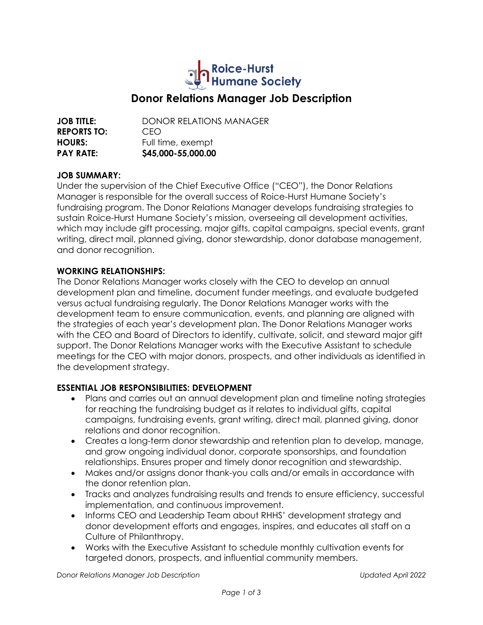

# **Donor Relations Manager Job Description**

**JOB TITLE:** DONOR RFI ATIONS MANAGER **REPORTS TO:** CEO **HOURS:** Full time, exempt **PAY RATE: \$45,000-55,000.00**

#### **JOB SUMMARY:**

Under the supervision of the Chief Executive Office ("CEO"), the Donor Relations Manager is responsible for the overall success of Roice-Hurst Humane Society's fundraising program. The Donor Relations Manager develops fundraising strategies to sustain Roice-Hurst Humane Society's mission, overseeing all development activities, which may include gift processing, major gifts, capital campaigns, special events, grant writing, direct mail, planned giving, donor stewardship, donor database management, and donor recognition.

#### **WORKING RELATIONSHIPS:**

The Donor Relations Manager works closely with the CEO to develop an annual development plan and timeline, document funder meetings, and evaluate budgeted versus actual fundraising regularly. The Donor Relations Manager works with the development team to ensure communication, events, and planning are aligned with the strategies of each year's development plan. The Donor Relations Manager works with the CEO and Board of Directors to identify, cultivate, solicit, and steward major gift support. The Donor Relations Manager works with the Executive Assistant to schedule meetings for the CEO with major donors, prospects, and other individuals as identified in the development strategy.

#### **ESSENTIAL JOB RESPONSIBILITIES: DEVELOPMENT**

- Plans and carries out an annual development plan and timeline noting strategies for reaching the fundraising budget as it relates to individual gifts, capital campaigns, fundraising events, grant writing, direct mail, planned giving, donor relations and donor recognition.
- Creates a long-term donor stewardship and retention plan to develop, manage, and grow ongoing individual donor, corporate sponsorships, and foundation relationships. Ensures proper and timely donor recognition and stewardship.
- Makes and/or assigns donor thank-you calls and/or emails in accordance with the donor retention plan.
- Tracks and analyzes fundraising results and trends to ensure efficiency, successful implementation, and continuous improvement.
- Informs CEO and Leadership Team about RHHS' development strategy and donor development efforts and engages, inspires, and educates all staff on a Culture of Philanthropy.
- Works with the Executive Assistant to schedule monthly cultivation events for targeted donors, prospects, and influential community members.

*Donor Relations Manager Job Description Updated April 2022*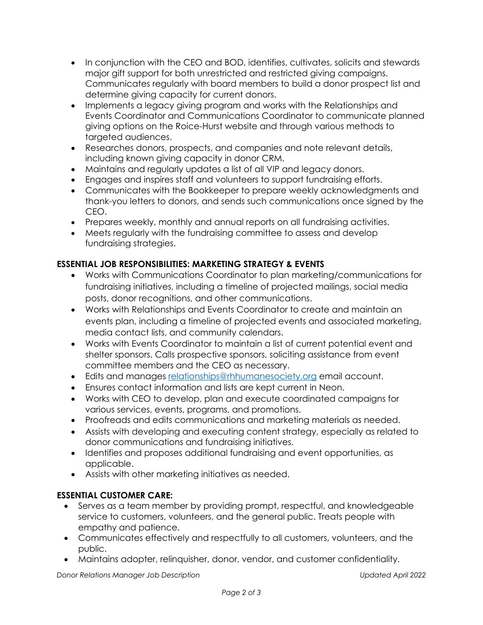- In conjunction with the CEO and BOD, identifies, cultivates, solicits and stewards major gift support for both unrestricted and restricted giving campaigns. Communicates regularly with board members to build a donor prospect list and determine giving capacity for current donors.
- Implements a legacy giving program and works with the Relationships and Events Coordinator and Communications Coordinator to communicate planned giving options on the Roice-Hurst website and through various methods to targeted audiences.
- Researches donors, prospects, and companies and note relevant details, including known giving capacity in donor CRM.
- Maintains and regularly updates a list of all VIP and legacy donors.
- Engages and inspires staff and volunteers to support fundraising efforts.
- Communicates with the Bookkeeper to prepare weekly acknowledgments and thank-you letters to donors, and sends such communications once signed by the CEO.
- Prepares weekly, monthly and annual reports on all fundraising activities.
- Meets regularly with the fundraising committee to assess and develop fundraising strategies.

# **ESSENTIAL JOB RESPONSIBILITIES: MARKETING STRATEGY & EVENTS**

- Works with Communications Coordinator to plan marketing/communications for fundraising initiatives, including a timeline of projected mailings, social media posts, donor recognitions, and other communications.
- Works with Relationships and Events Coordinator to create and maintain an events plan, including a timeline of projected events and associated marketing, media contact lists, and community calendars.
- Works with Events Coordinator to maintain a list of current potential event and shelter sponsors. Calls prospective sponsors, soliciting assistance from event committee members and the CEO as necessary.
- Edits and manages relationships@rhhumanesociety.org email account.
- Ensures contact information and lists are kept current in Neon.
- Works with CEO to develop, plan and execute coordinated campaigns for various services, events, programs, and promotions.
- Proofreads and edits communications and marketing materials as needed.
- Assists with developing and executing content strategy, especially as related to donor communications and fundraising initiatives.
- Identifies and proposes additional fundraising and event opportunities, as applicable.
- Assists with other marketing initiatives as needed.

### **ESSENTIAL CUSTOMER CARE:**

- Serves as a team member by providing prompt, respectful, and knowledgeable service to customers, volunteers, and the general public. Treats people with empathy and patience.
- Communicates effectively and respectfully to all customers, volunteers, and the public.
- Maintains adopter, relinquisher, donor, vendor, and customer confidentiality.

*Donor Relations Manager Job Description Updated April 2022*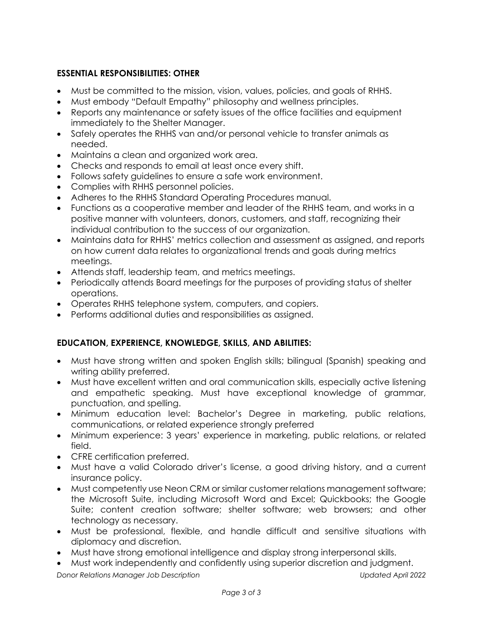## **ESSENTIAL RESPONSIBILITIES: OTHER**

- Must be committed to the mission, vision, values, policies, and goals of RHHS.
- Must embody "Default Empathy" philosophy and wellness principles.
- Reports any maintenance or safety issues of the office facilities and equipment immediately to the Shelter Manager.
- Safely operates the RHHS van and/or personal vehicle to transfer animals as needed.
- Maintains a clean and organized work area.
- Checks and responds to email at least once every shift.
- Follows safety guidelines to ensure a safe work environment.
- Complies with RHHS personnel policies.
- Adheres to the RHHS Standard Operating Procedures manual.
- Functions as a cooperative member and leader of the RHHS team, and works in a positive manner with volunteers, donors, customers, and staff, recognizing their individual contribution to the success of our organization.
- Maintains data for RHHS' metrics collection and assessment as assigned, and reports on how current data relates to organizational trends and goals during metrics meetings.
- Attends staff, leadership team, and metrics meetings.
- Periodically attends Board meetings for the purposes of providing status of shelter operations.
- Operates RHHS telephone system, computers, and copiers.
- Performs additional duties and responsibilities as assigned.

### **EDUCATION, EXPERIENCE, KNOWLEDGE, SKILLS, AND ABILITIES:**

- Must have strong written and spoken English skills; bilingual (Spanish) speaking and writing ability preferred.
- Must have excellent written and oral communication skills, especially active listening and empathetic speaking. Must have exceptional knowledge of grammar, punctuation, and spelling.
- Minimum education level: Bachelor's Degree in marketing, public relations, communications, or related experience strongly preferred
- Minimum experience: 3 years' experience in marketing, public relations, or related field.
- CFRE certification preferred.
- Must have a valid Colorado driver's license, a good driving history, and a current insurance policy.
- Must competently use Neon CRM or similar customer relations management software; the Microsoft Suite, including Microsoft Word and Excel; Quickbooks; the Google Suite; content creation software; shelter software; web browsers; and other technology as necessary.
- Must be professional, flexible, and handle difficult and sensitive situations with diplomacy and discretion.
- Must have strong emotional intelligence and display strong interpersonal skills.
- Must work independently and confidently using superior discretion and judgment.

*Donor Relations Manager Job Description Updated April 2022*